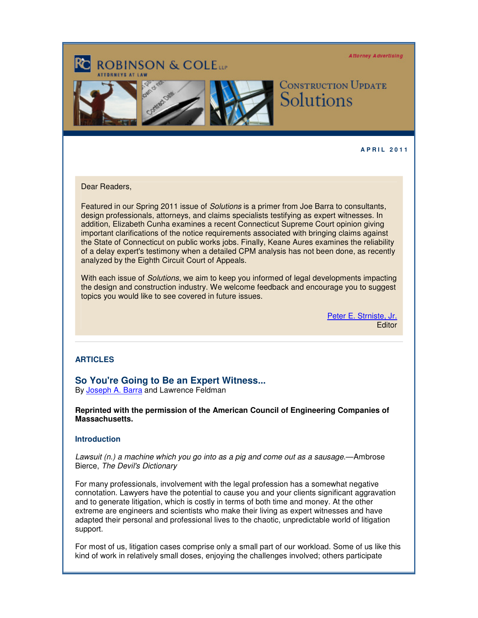Attorney Advertising

# **ROBINSON & COLETT**





## **CONSTRUCTION UPDATE** Solutions

### **A P R I L 2 0 1 1**

### Dear Readers,

Featured in our Spring 2011 issue of Solutions is a primer from Joe Barra to consultants, design professionals, attorneys, and claims specialists testifying as expert witnesses. In addition, Elizabeth Cunha examines a recent Connecticut Supreme Court opinion giving important clarifications of the notice requirements associated with bringing claims against the State of Connecticut on public works jobs. Finally, Keane Aures examines the reliability of a delay expert's testimony when a detailed CPM analysis has not been done, as recently analyzed by the Eighth Circuit Court of Appeals.

With each issue of *Solutions*, we aim to keep you informed of legal developments impacting the design and construction industry. We welcome feedback and encourage you to suggest topics you would like to see covered in future issues.

> [Peter E. Strniste, Jr.](http://www.rc.com/Bio.cfm?eID=1428) **Editor**

### **ARTICLES**

**So You're Going to Be an Expert Witness...**

By [Joseph A. Barra](http://www.rc.com/Bio.cfm?eID=1584) and Lawrence Feldman

**Reprinted with the permission of the American Council of Engineering Companies of Massachusetts.**

### **Introduction**

Lawsuit (n.) a machine which you go into as a pig and come out as a sausage.—Ambrose Bierce, The Devil's Dictionary

For many professionals, involvement with the legal profession has a somewhat negative connotation. Lawyers have the potential to cause you and your clients significant aggravation and to generate litigation, which is costly in terms of both time and money. At the other extreme are engineers and scientists who make their living as expert witnesses and have adapted their personal and professional lives to the chaotic, unpredictable world of litigation support.

For most of us, litigation cases comprise only a small part of our workload. Some of us like this kind of work in relatively small doses, enjoying the challenges involved; others participate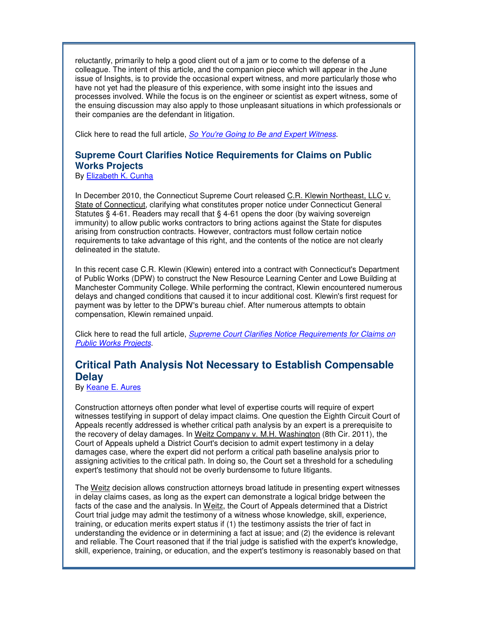reluctantly, primarily to help a good client out of a jam or to come to the defense of a colleague. The intent of this article, and the companion piece which will appear in the June issue of Insights, is to provide the occasional expert witness, and more particularly those who have not yet had the pleasure of this experience, with some insight into the issues and processes involved. While the focus is on the engineer or scientist as expert witness, some of the ensuing discussion may also apply to those unpleasant situations in which professionals or their companies are the defendant in litigation.

Click here to read the full article, [So You're Going to Be and Expert Witness](http://image.exct.net/lib/fefb1671756c0d/d/1/Construction%20Solutions%20Barra.pdf).

### **Supreme Court Clarifies Notice Requirements for Claims on Public Works Projects**

By [Elizabeth K. Cunha](http://www.rc.com/Bio.cfm?eID=1527)

In December 2010, the Connecticut Supreme Court released C.R. Klewin Northeast, LLC v. State of Connecticut, clarifying what constitutes proper notice under Connecticut General Statutes § 4-61. Readers may recall that § 4-61 opens the door (by waiving sovereign immunity) to allow public works contractors to bring actions against the State for disputes arising from construction contracts. However, contractors must follow certain notice requirements to take advantage of this right, and the contents of the notice are not clearly delineated in the statute.

In this recent case C.R. Klewin (Klewin) entered into a contract with Connecticut's Department of Public Works (DPW) to construct the New Resource Learning Center and Lowe Building at Manchester Community College. While performing the contract, Klewin encountered numerous delays and changed conditions that caused it to incur additional cost. Klewin's first request for payment was by letter to the DPW's bureau chief. After numerous attempts to obtain compensation, Klewin remained unpaid.

Click here to read the full article, **[Supreme Court Clarifies Notice Requirements for Claims on](http://image.exct.net/lib/fefb1671756c0d/d/1/Construction%20Solutions%20Cunha.pdf)** [Public Works Projects](http://image.exct.net/lib/fefb1671756c0d/d/1/Construction%20Solutions%20Cunha.pdf).

### **Critical Path Analysis Not Necessary to Establish Compensable Delay**

By [Keane E. Aures](http://www.rc.com/Bio.cfm?eID=1427) 

Construction attorneys often ponder what level of expertise courts will require of expert witnesses testifying in support of delay impact claims. One question the Eighth Circuit Court of Appeals recently addressed is whether critical path analysis by an expert is a prerequisite to the recovery of delay damages. In Weitz Company v. M.H. Washington (8th Cir. 2011), the Court of Appeals upheld a District Court's decision to admit expert testimony in a delay damages case, where the expert did not perform a critical path baseline analysis prior to assigning activities to the critical path. In doing so, the Court set a threshold for a scheduling expert's testimony that should not be overly burdensome to future litigants.

The Weitz decision allows construction attorneys broad latitude in presenting expert witnesses in delay claims cases, as long as the expert can demonstrate a logical bridge between the facts of the case and the analysis. In Weitz, the Court of Appeals determined that a District Court trial judge may admit the testimony of a witness whose knowledge, skill, experience, training, or education merits expert status if (1) the testimony assists the trier of fact in understanding the evidence or in determining a fact at issue; and (2) the evidence is relevant and reliable. The Court reasoned that if the trial judge is satisfied with the expert's knowledge, skill, experience, training, or education, and the expert's testimony is reasonably based on that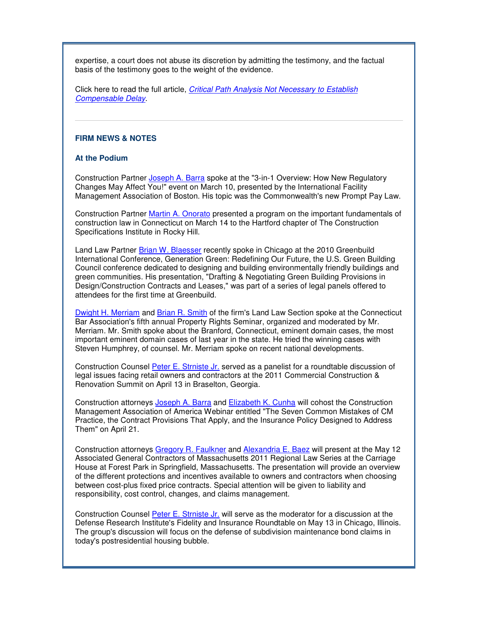expertise, a court does not abuse its discretion by admitting the testimony, and the factual basis of the testimony goes to the weight of the evidence.

Click here to read the full article, [Critical Path Analysis Not Necessary to Establish](http://image.exct.net/lib/fefb1671756c0d/d/1/Construction%20Solutions%20Aures.pdf) [Compensable Delay](http://image.exct.net/lib/fefb1671756c0d/d/1/Construction%20Solutions%20Aures.pdf).

### **FIRM NEWS & NOTES**

### **At the Podium**

Construction Partner [Joseph A. Barra](http://www.rc.com/Bio.cfm?eID=1584) spoke at the "3-in-1 Overview: How New Regulatory Changes May Affect You!" event on March 10, presented by the International Facility Management Association of Boston. His topic was the Commonwealth's new Prompt Pay Law.

Construction Partner [Martin A. Onorato](http://www.rc.com/Bio.cfm?eID=1435) presented a program on the important fundamentals of construction law in Connecticut on March 14 to the Hartford chapter of The Construction Specifications Institute in Rocky Hill.

Land Law Partner [Brian W. Blaesser](http://www.rc.com/Bio.cfm?eID=710) recently spoke in Chicago at the 2010 Greenbuild International Conference, Generation Green: Redefining Our Future, the U.S. Green Building Council conference dedicated to designing and building environmentally friendly buildings and green communities. His presentation, "Drafting & Negotiating Green Building Provisions in Design/Construction Contracts and Leases," was part of a series of legal panels offered to attendees for the first time at Greenbuild.

[Dwight H. Merriam](http://www.rc.com/Bio.cfm?eID=736) an[d Brian R. Smith](http://www.rc.com/Bio.cfm?eID=748) of the firm's Land Law Section spoke at the Connecticut Bar Association's fifth annual Property Rights Seminar, organized and moderated by Mr. Merriam. Mr. Smith spoke about the Branford, Connecticut, eminent domain cases, the most important eminent domain cases of last year in the state. He tried the winning cases with Steven Humphrey, of counsel. Mr. Merriam spoke on recent national developments.

Construction Counsel [Peter E. Strniste Jr.](http://www.rc.com/Bio.cfm?eID=1428) served as a panelist for a roundtable discussion of legal issues facing retail owners and contractors at the 2011 Commercial Construction & Renovation Summit on April 13 in Braselton, Georgia.

Construction attorneys [Joseph A. Barra](http://www.rc.com/Bio.cfm?eID=1584) and [Elizabeth K. Cunha](http://www.rc.com/Bio.cfm?eID=1527) will cohost the Construction Management Association of America Webinar entitled "The Seven Common Mistakes of CM Practice, the Contract Provisions That Apply, and the Insurance Policy Designed to Address Them" on April 21.

Construction attorneys [Gregory R. Faulkner](http://www.rc.com/Bio.cfm?eID=1432) and [Alexandria E. Baez](http://www.rc.com/Bio.cfm?eID=1286) will present at the May 12 Associated General Contractors of Massachusetts 2011 Regional Law Series at the Carriage House at Forest Park in Springfield, Massachusetts. The presentation will provide an overview of the different protections and incentives available to owners and contractors when choosing between cost-plus fixed price contracts. Special attention will be given to liability and responsibility, cost control, changes, and claims management.

Construction Counsel [Peter E. Strniste Jr.](http://www.rc.com/Bio.cfm?eID=1428) will serve as the moderator for a discussion at the Defense Research Institute's Fidelity and Insurance Roundtable on May 13 in Chicago, Illinois. The group's discussion will focus on the defense of subdivision maintenance bond claims in today's postresidential housing bubble.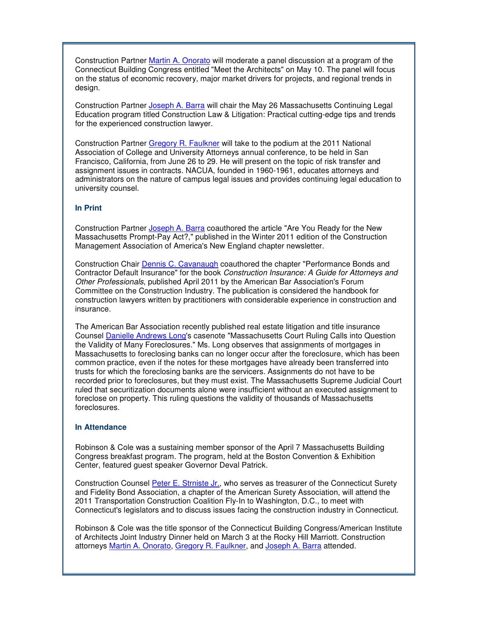Construction Partner [Martin A. Onorato](http://www.rc.com/Bio.cfm?eID=1435) will moderate a panel discussion at a program of the Connecticut Building Congress entitled "Meet the Architects" on May 10. The panel will focus on the status of economic recovery, major market drivers for projects, and regional trends in design.

Construction Partner [Joseph A. Barra](http://www.rc.com/Bio.cfm?eID=1584) will chair the May 26 Massachusetts Continuing Legal Education program titled Construction Law & Litigation: Practical cutting-edge tips and trends for the experienced construction lawyer.

Construction Partner [Gregory R. Faulkner](http://www.rc.com/Bio.cfm?eID=1432) will take to the podium at the 2011 National Association of College and University Attorneys annual conference, to be held in San Francisco, California, from June 26 to 29. He will present on the topic of risk transfer and assignment issues in contracts. NACUA, founded in 1960-1961, educates attorneys and administrators on the nature of campus legal issues and provides continuing legal education to university counsel.

### **In Print**

Construction Partner [Joseph A. Barra](http://www.rc.com/Bio.cfm?eID=1584) coauthored the article "Are You Ready for the New Massachusetts Prompt-Pay Act?," published in the Winter 2011 edition of the Construction Management Association of America's New England chapter newsletter.

Construction Chair [Dennis C. Cavanaugh](http://www.rc.com/Bio.cfm?eID=1431) coauthored the chapter "Performance Bonds and Contractor Default Insurance" for the book Construction Insurance: A Guide for Attorneys and Other Professionals, published April 2011 by the American Bar Association's Forum Committee on the Construction Industry. The publication is considered the handbook for construction lawyers written by practitioners with considerable experience in construction and insurance.

The American Bar Association recently published real estate litigation and title insurance Counsel [Danielle Andrews Long](http://www.rc.com/Bio.cfm?eID=874)'s casenote "Massachusetts Court Ruling Calls into Question the Validity of Many Foreclosures." Ms. Long observes that assignments of mortgages in Massachusetts to foreclosing banks can no longer occur after the foreclosure, which has been common practice, even if the notes for these mortgages have already been transferred into trusts for which the foreclosing banks are the servicers. Assignments do not have to be recorded prior to foreclosures, but they must exist. The Massachusetts Supreme Judicial Court ruled that securitization documents alone were insufficient without an executed assignment to foreclose on property. This ruling questions the validity of thousands of Massachusetts foreclosures.

### **In Attendance**

Robinson & Cole was a sustaining member sponsor of the April 7 Massachusetts Building Congress breakfast program. The program, held at the Boston Convention & Exhibition Center, featured guest speaker Governor Deval Patrick.

Construction Counsel [Peter E. Strniste Jr.](http://www.rc.com/Bio.cfm?eID=1428), who serves as treasurer of the Connecticut Surety and Fidelity Bond Association, a chapter of the American Surety Association, will attend the 2011 Transportation Construction Coalition Fly-In to Washington, D.C., to meet with Connecticut's legislators and to discuss issues facing the construction industry in Connecticut.

Robinson & Cole was the title sponsor of the Connecticut Building Congress/American Institute of Architects Joint Industry Dinner held on March 3 at the Rocky Hill Marriott. Construction attorneys [Martin A. Onorato,](http://www.rc.com/Bio.cfm?eID=1435) [Gregory R. Faulkner](http://www.rc.com/Bio.cfm?eID=1432), and [Joseph A. Barra](http://www.rc.com/Bio.cfm?eID=1584) attended.